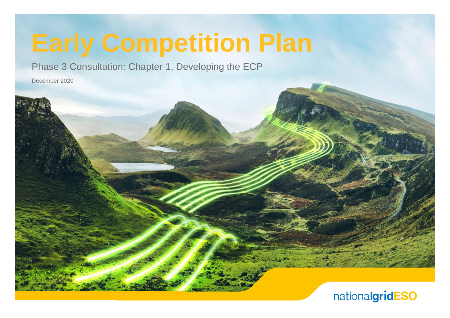# **Early Competition Plan**

Phase 3 Consultation: Chapter 1, Developing the ECP

December 2020

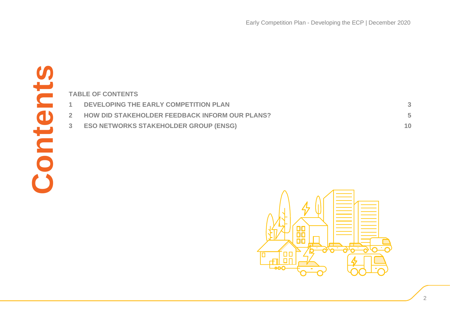|                | <b>TABLE OF CONTENTS</b>                       |
|----------------|------------------------------------------------|
| $\mathbf{1}$   | DEVELOPING THE EARLY COMPETITION PLAN          |
| 2 <sup>1</sup> | HOW DID STAKEHOLDER FEEDBACK INFORM OUR PLANS? |
| 3 <sup>1</sup> | <b>ESO NETWORKS STAKEHOLDER GROUP (ENSG)</b>   |
|                |                                                |
|                |                                                |
|                |                                                |
|                |                                                |
|                |                                                |
|                |                                                |
|                | $\bigwedge$                                    |

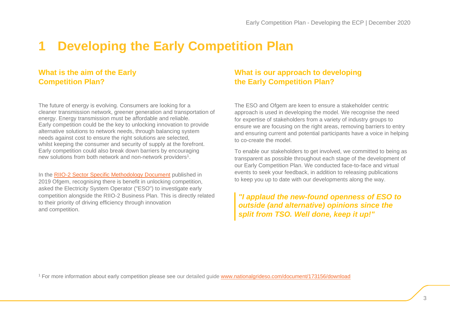## <span id="page-2-0"></span>**1 Developing the Early Competition Plan**

#### **What is the aim of the Early Competition Plan?**

The future of energy is evolving. Consumers are looking for a cleaner transmission network, greener generation and transportation of energy. Energy transmission must be affordable and reliable. Early competition could be the key to unlocking innovation to provide alternative solutions to network needs, through balancing system needs against cost to ensure the right solutions are selected, whilst keeping the consumer and security of supply at the forefront. Early competition could also break down barriers by encouraging new solutions from both network and non-network providers<sup>1</sup>.

In the RIIO-2 Sector Specific [Methodology](https://www.ofgem.gov.uk/system/files/docs/2019/05/riio-2_sector_specific_methodology_decision_-_core_30.5.19.pdf) Document published in 2019 Ofgem, recognising there is benefit in unlocking competition, asked the Electricity System Operator ("ESO") to investigate early competition alongside the RIIO-2 Business Plan. This is directly related to their priority of driving efficiency through innovation and competition.

#### **What is our approach to developing the Early Competition Plan?**

The ESO and Ofgem are keen to ensure a stakeholder centric approach is used in developing the model. We recognise the need for expertise of stakeholders from a variety of industry groups to ensure we are focusing on the right areas, removing barriers to entry and ensuring current and potential participants have a voice in helping to co-create the model.

To enable our stakeholders to get involved, we committed to being as transparent as possible throughout each stage of the development of our Early Competition Plan. We conducted face-to-face and virtual events to seek your feedback, in addition to releasing publications to keep you up to date with our developments along the way.

*"I applaud the new-found openness of ESO to outside (and alternative) opinions since the split from TSO. Well done, keep it up!"*

<sup>1</sup> For more information about early competition please see our detailed guide [www.nationalgrideso.com/document/173156/download](http://www.nationalgrideso.com/document/173156/download)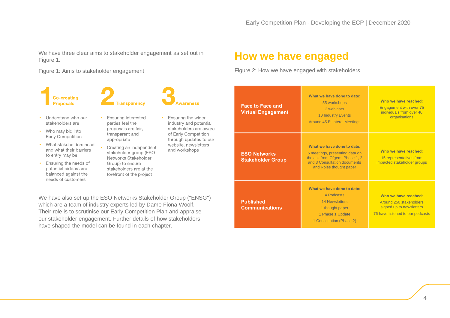We have three clear aims to stakeholder engagement as set out in [Figure](#page-3-0) 1.

<span id="page-3-0"></span>Figure 1: Aims to stakeholder engagement

**Co-creating Proposals** 



- Understand who our stakeholders are
- Who may bid into Early Competition
- What stakeholders need and what their barriers to entry may be
- Ensuring the needs of  $\bullet$ potential bidders are balanced against the needs of customers
- Ensuring interested parties feel the proposals are fair. transparent and appropriate
- Creating an independent stakeholder group (ESO Networks Stakeholder Group) to ensure stakeholders are at the forefront of the project
- Ensuring the wider industry and potential stakeholders are aware of Early Competition through updates to our website, newsletters and workshops

We have also set up the ESO Networks Stakeholder Group ("ENSG") which are a team of industry experts led by Dame Fiona Woolf. Their role is to scrutinise our Early Competition Plan and appraise our stakeholder engagement. Further details of how stakeholders have shaped the model can be found in each chapter.

### **How we have engaged**

Figure 2: How we have engaged with stakeholders

| <b>Face to Face and</b><br><b>Virtual Engagement</b> | What we have done to date:<br>55 workshops<br>2 webinars<br><b>10 Industry Events</b><br><b>Around 45 Bi-lateral Meetings</b>                             | Who we have reached:<br>Engagement with over 75<br>individuals from over 40<br>organisations                    |
|------------------------------------------------------|-----------------------------------------------------------------------------------------------------------------------------------------------------------|-----------------------------------------------------------------------------------------------------------------|
| <b>ESO Networks</b><br><b>Stakeholder Group</b>      | What we have done to date:<br>5 meetings, presenting data on<br>the ask from Ofgem, Phase 1, 2<br>and 3 Consultation documents<br>and Roles thought paper | Who we have reached:<br>15 representatives from<br>impacted stakeholder groups                                  |
| <b>Published</b><br><b>Communications</b>            | What we have done to date:<br>4 Podcasts<br><b>14 Newsletters</b><br>1 thought paper<br>1 Phase 1 Update<br>1 Consultation (Phase 2)                      | Who we have reached:<br>Around 250 stakeholders<br>signed up to newsletters<br>76 have listened to our podcasts |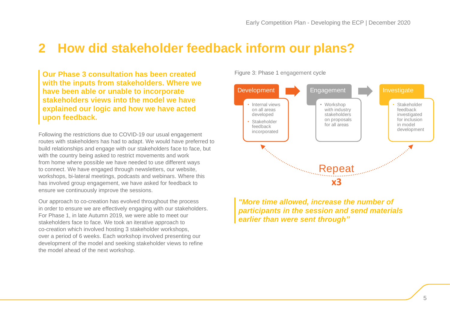## <span id="page-4-0"></span>**2 How did stakeholder feedback inform our plans?**

**Our Phase 3 consultation has been created with the inputs from stakeholders. Where we have been able or unable to incorporate stakeholders views into the model we have explained our logic and how we have acted upon feedback.**

Following the restrictions due to COVID-19 our usual engagement routes with stakeholders has had to adapt. We would have preferred to build relationships and engage with our stakeholders face to face, but with the country being asked to restrict movements and work from home where possible we have needed to use different ways to connect. We have engaged through newsletters, our website, workshops, bi-lateral meetings, podcasts and webinars. Where this has involved group engagement, we have asked for feedback to ensure we continuously improve the sessions.

Our approach to co-creation has evolved throughout the process in order to ensure we are effectively engaging with our stakeholders. For Phase 1, in late Autumn 2019, we were able to meet our stakeholders face to face. We took an iterative approach to co-creation which involved hosting 3 stakeholder workshops, over a period of 6 weeks. Each workshop involved presenting our development of the model and seeking stakeholder views to refine the model ahead of the next workshop.

Figure 3: Phase 1 engagement cycle



*"More time allowed, increase the number of participants in the session and send materials earlier than were sent through"*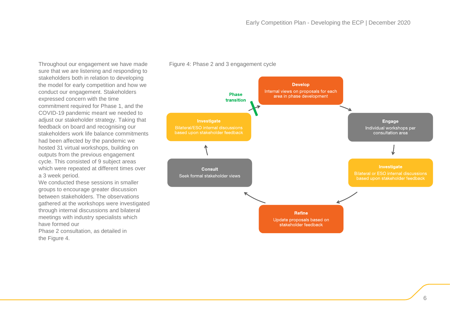<span id="page-5-0"></span>Figure 4: Phase 2 and 3 engagement cycle

Throughout our engagement we have made sure that we are listening and responding to stakeholders both in relation to developing the model for early competition and how we conduct our engagement. Stakeholders expressed concern with the time commitment required for Phase 1, and the COVID-19 pandemic meant we needed to adjust our stakeholder strategy. Taking that feedback on board and recognising our stakeholders work life balance commitments had been affected by the pandemic we hosted 31 virtual workshops, building on outputs from the previous engagement cycle. This consisted of 9 subject areas which were repeated at different times over a 3 week period.

We conducted these sessions in smaller groups to encourage greater discussion between stakeholders. The observations gathered at the workshops were investigated through internal discussions and bilateral meetings with industry specialists which have formed our

Phase 2 consultation, as detailed in the [Figure](#page-5-0) 4.

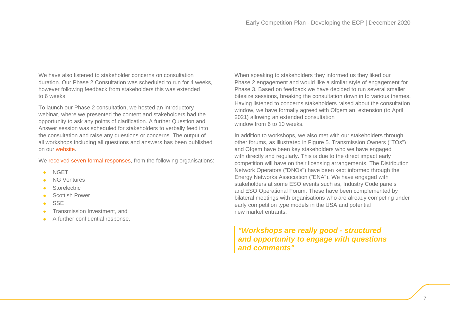We have also listened to stakeholder concerns on consultation duration. Our Phase 2 Consultation was scheduled to run for 4 weeks, however following feedback from stakeholders this was extended to 6 weeks.

To launch our Phase 2 consultation, we hosted an introductory webinar, where we presented the content and stakeholders had the opportunity to ask any points of clarification. A further Question and Answer session was scheduled for stakeholders to verbally feed into the consultation and raise any questions or concerns. The output of all workshops including all questions and answers has been published on our [website.](https://www.nationalgrideso.com/future-energy/projects/early-competition-plan/project-documents-early-competition)

We received seven formal [responses,](https://www.nationalgrideso.com/future-energy/projects/early-competition-plan/project-documents-early-competition) from the following organisations:

- **NGET**  $\bullet$
- NG Ventures
- **Storelectric**
- $\bullet$ Scottish Power
- **SSE**  $\bullet$
- Transmission Investment, and  $\bullet$
- A further confidential response.  $\bullet$

When speaking to stakeholders they informed us they liked our Phase 2 engagement and would like a similar style of engagement for Phase 3. Based on feedback we have decided to run several smaller bitesize sessions, breaking the consultation down in to various themes. Having listened to concerns stakeholders raised about the consultation window, we have formally agreed with Ofgem an extension (to April 2021) allowing an extended consultation window from 6 to 10 weeks.

In addition to workshops, we also met with our stakeholders through other forums, as illustrated in Figure 5. Transmission Owners ("TOs") and Ofgem have been key stakeholders who we have engaged with directly and regularly. This is due to the direct impact early competition will have on their licensing arrangements. The Distribution Network Operators ("DNOs") have been kept informed through the Energy Networks Association ("ENA"). We have engaged with stakeholders at some ESO events such as, Industry Code panels and ESO Operational Forum. These have been complemented by bilateral meetings with organisations who are already competing under early competition type models in the USA and potential new market entrants.

#### *"Workshops are really good - structured and opportunity to engage with questions and comments"*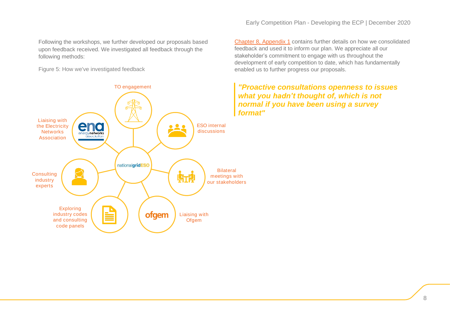Following the workshops, we further developed our proposals based upon feedback received. We investigated all feedback through the following methods:

Figure 5: How we've investigated feedback

Chapter 8, [Appendix](https://www.nationalgrideso.com/document/181941/download) 1 contains further details on how we consolidated feedback and used it to inform our plan. We appreciate all our stakeholder's commitment to engage with us throughout the development of early competition to date, which has fundamentally enabled us to further progress our proposals.

*"Proactive consultations openness to issues what you hadn't thought of, which is not normal if you have been using a survey format"*

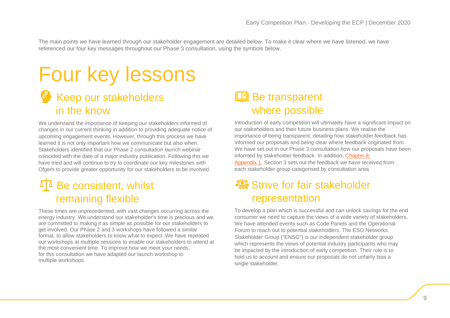The main points we have learned through our stakeholder engagement are detailed below. To make it clear where we have listened, we have referenced our four key messages throughout our Phase 3 consultation, using the symbols below.

## Four key lessons **Keep our stakeholders** in the know

We understand the importance of keeping our stakeholders informed of changes in our current thinking in addition to providing adequate notice of upcoming engagement events. However, through this process we have learned it is not only important how we communicate but also when. Stakeholders identified that our Phase 2 consultation launch webinar coincided with the date of a major industry publication. Following this we have tried and will continue to try to coordinate our key milestones with Ofgem to provide greater opportunity for our stakeholders to be involved.

## $\mathbb{I}^{\mathbb{A}}$  Be consistent, whilst remaining flexible

These times are unprecedented, with vast changes occurring across the energy industry. We understand our stakeholder's time is precious and we are committed to making it as simple as possible for our stakeholders to get involved. Our Phase 2 and 3 workshops have followed a similar format, to allow stakeholders to know what to expect. We have repeated our workshops at multiple sessions to enable our stakeholders to attend at the most convenient time. To improve how we meet your needs, for this consultation we have adapted our launch workshop to multiple workshops.

## Be transparent where possible

Introduction of early competition will ultimately have a significant impact on our stakeholders and their future business plans. We realise the importance of being transparent, detailing how stakeholder feedback has informed our proposals and being clear where feedback originated from. We have set out in our Phase 3 consultation how our proposals have been informed by stakeholder feedback. In addition, [Chapter](https://www.nationalgrideso.com/document/181941/download) 8, [Appendix](https://www.nationalgrideso.com/document/181941/download) 1, Section 3 sets out the feedback we have received from each stakeholder group categorised by consultation area.

## Strive for fair stakeholder representation

To develop a plan which is successful and can unlock savings for the end consumer we need to capture the views of a wide variety of stakeholders. We have attended events such as Code Panels and the Operational Forum to reach out to potential stakeholders. The ESO Networks Stakeholder Group ("ENSG") is our independent stakeholder group which represents the views of potential industry participants who may be impacted by the introduction of early competition. Their role is to hold us to account and ensure our proposals do not unfairly bias a single stakeholder.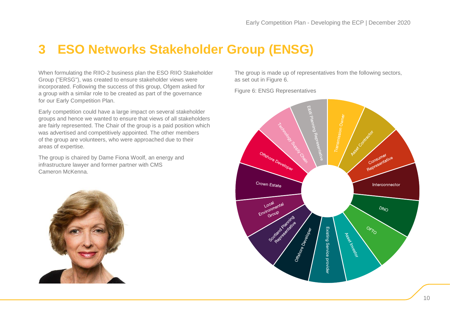## <span id="page-9-0"></span>**3 ESO Networks Stakeholder Group (ENSG)**

When formulating the RIIO-2 business plan the ESO RIIO Stakeholder Group ("ERSG"), was created to ensure stakeholder views were incorporated. Following the success of this group, Ofgem asked for a group with a similar role to be created as part of the governance for our Early Competition Plan.

Early competition could have a large impact on several stakeholder groups and hence we wanted to ensure that views of all stakeholders are fairly represented. The Chair of the group is a paid position which was advertised and competitively appointed. The other members of the group are volunteers, who were approached due to their areas of expertise.

The group is chaired by Dame Fiona Woolf, an energy and infrastructure lawyer and former partner with CMS Cameron McKenna.



The group is made up of representatives from the following sectors, as set out in [Figure](#page-9-1) 6.

<span id="page-9-1"></span>Figure 6: ENSG Representatives